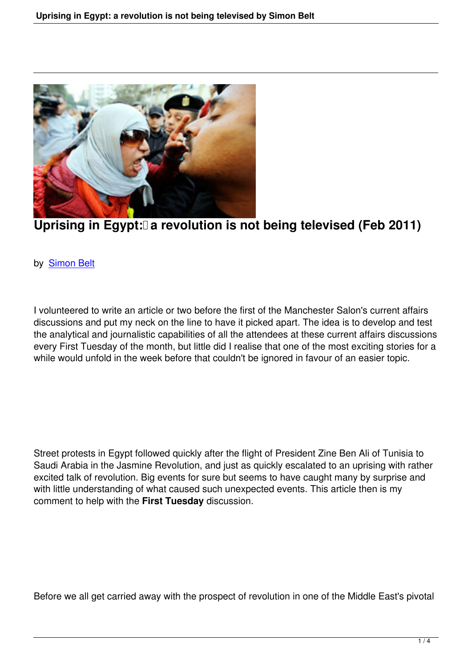

## Uprising in Egypt: a revolution is not being televised (Feb 2011)

## by Simon Belt

I v[olunteered to](people.html#simon-belt) write an article or two before the first of the Manchester Salon's current affairs discussions and put my neck on the line to have it picked apart. The idea is to develop and test the analytical and journalistic capabilities of all the attendees at these current affairs discussions every First Tuesday of the month, but little did I realise that one of the most exciting stories for a while would unfold in the week before that couldn't be ignored in favour of an easier topic.

Street protests in Egypt followed quickly after the flight of President Zine Ben Ali of Tunisia to Saudi Arabia in the Jasmine Revolution, and just as quickly escalated to an uprising with rather excited talk of revolution. Big events for sure but seems to have caught many by surprise and with little understanding of what caused such unexpected events. This article then is my comment to help with the **First Tuesday** discussion.

Before we all get carried away with the prospect of revolution in one of the Middle East's pivotal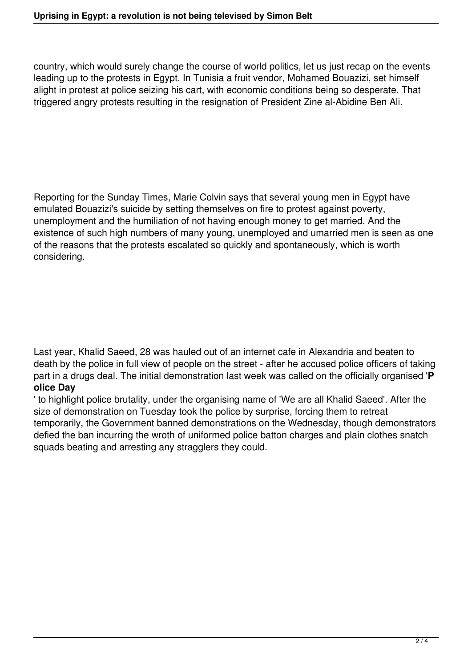country, which would surely change the course of world politics, let us just recap on the events leading up to the protests in Egypt. In Tunisia a fruit vendor, Mohamed Bouazizi, set himself alight in protest at police seizing his cart, with economic conditions being so desperate. That triggered angry protests resulting in the resignation of President Zine al-Abidine Ben Ali.

Reporting for the Sunday Times, Marie Colvin says that several young men in Egypt have emulated Bouazizi's suicide by setting themselves on fire to protest against poverty, unemployment and the humiliation of not having enough money to get married. And the existence of such high numbers of many young, unemployed and umarried men is seen as one of the reasons that the protests escalated so quickly and spontaneously, which is worth considering.

Last year, Khalid Saeed, 28 was hauled out of an internet cafe in Alexandria and beaten to death by the police in full view of people on the street - after he accused police officers of taking part in a drugs deal. The initial demonstration last week was called on the officially organised '**P olice Day**

' to highlight police brutality, under the organising name of 'We are all Khalid Saeed'. After the size of demonstration on Tuesday took the police by surprise, forcing them to retreat temporarily, the Government banned demonstrations on the Wednesday, though demonstrators defied the ban incurring the wroth of uniformed police batton charges and plain clothes snatch squads beating and arresting any stragglers they could.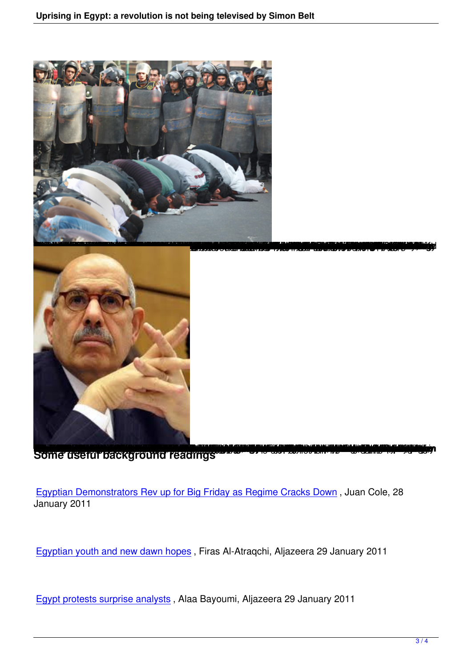

Some usefur background readings

Egyptian Demonstrators Rev up for Big Friday as Regime Cracks Down , Juan Cole, 28 January 2011

Egyptian youth and new dawn hopes , Firas Al-Atraqchi, Aljazeera 29 January 2011

[Egypt protests surprise analysts](http://english.aljazeera.net/indepth/features/2011/01/2011129081571546.html) , Alaa Bayoumi, Aljazeera 29 January 2011